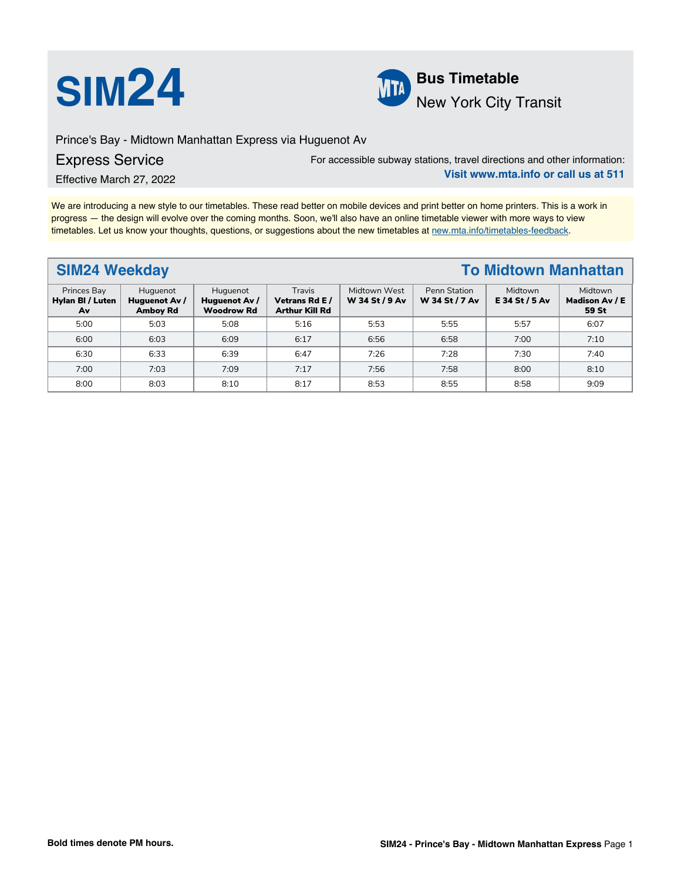



# New York City Transit

Prince's Bay - Midtown Manhattan Express via Huguenot Av

# Express Service

For accessible subway stations, travel directions and other information: **Visit www.mta.info or call us at 511**

Effective March 27, 2022

We are introducing a new style to our timetables. These read better on mobile devices and print better on home printers. This is a work in progress — the design will evolve over the coming months. Soon, we'll also have an online timetable viewer with more ways to view timetables. Let us know your thoughts, questions, or suggestions about the new timetables at [new.mta.info/timetables-feedback](https://new.mta.info/timetables-feedback).

# **SIM24 Weekday To Midtown Manhattan**

| <b>Princes Bay</b><br>Hylan BI / Luten<br>Av | Huguenot<br>Huguenot Av /<br><b>Amboy Rd</b> | Huguenot<br>Huguenot Av /<br><b>Woodrow Rd</b> | Travis<br>Vetrans Rd E /<br><b>Arthur Kill Rd</b> | Midtown West<br>W 34 St / 9 Av | Penn Station<br>W 34 St / 7 Av | Midtown<br>E 34 St / 5 Av | Midtown<br>Madison Av / E<br>59 St |
|----------------------------------------------|----------------------------------------------|------------------------------------------------|---------------------------------------------------|--------------------------------|--------------------------------|---------------------------|------------------------------------|
| 5:00                                         | 5:03                                         | 5:08                                           | 5:16                                              | 5:53                           | 5:55                           | 5:57                      | 6:07                               |
| 6:00                                         | 6:03                                         | 6:09                                           | 6:17                                              | 6:56                           | 6:58                           | 7:00                      | 7:10                               |
| 6:30                                         | 6:33                                         | 6:39                                           | 6:47                                              | 7:26                           | 7:28                           | 7:30                      | 7:40                               |
| 7:00                                         | 7:03                                         | 7:09                                           | 7:17                                              | 7:56                           | 7:58                           | 8:00                      | 8:10                               |
| 8:00                                         | 8:03                                         | 8:10                                           | 8:17                                              | 8:53                           | 8:55                           | 8:58                      | 9:09                               |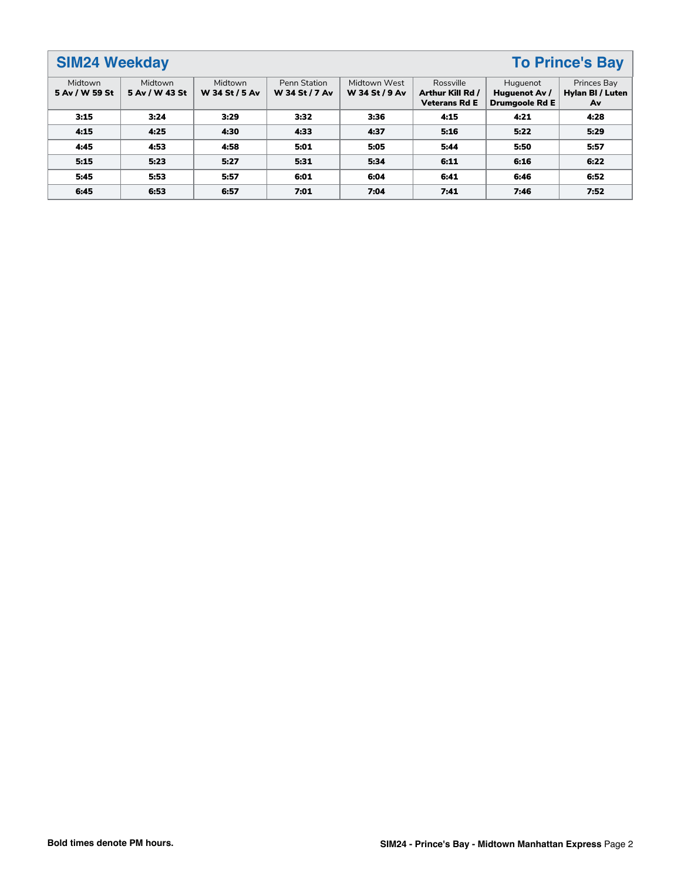# **SIM24 Weekday To Prince's Bay**

| Midtown<br>5 Av / W 59 St | Midtown<br>5 Av / W 43 St | Midtown<br>W 34 St / 5 Av | <b>Penn Station</b><br>W 34 St / 7 Av | Midtown West<br>W 34 St / 9 Av | Rossville<br>Arthur Kill Rd /<br><b>Veterans Rd E</b> | Huguenot<br>Huguenot Av /<br><b>Drumgoole Rd E</b> | Princes Bay<br>Hylan BI / Luten<br>Av |
|---------------------------|---------------------------|---------------------------|---------------------------------------|--------------------------------|-------------------------------------------------------|----------------------------------------------------|---------------------------------------|
| 3:15                      | 3:24                      | 3:29                      | 3:32                                  | 3:36                           | 4:15                                                  | 4:21                                               | 4:28                                  |
| 4:15                      | 4:25                      | 4:30                      | 4:33                                  | 4:37                           | 5:16                                                  | 5:22                                               | 5:29                                  |
| 4:45                      | 4:53                      | 4:58                      | 5:01                                  | 5:05                           | 5:44                                                  | 5:50                                               | 5:57                                  |
| 5:15                      | 5:23                      | 5:27                      | 5:31                                  | 5:34                           | 6:11                                                  | 6:16                                               | 6:22                                  |
| 5:45                      | 5:53                      | 5:57                      | 6:01                                  | 6:04                           | 6:41                                                  | 6:46                                               | 6:52                                  |
| 6:45                      | 6:53                      | 6:57                      | 7:01                                  | 7:04                           | 7:41                                                  | 7:46                                               | 7:52                                  |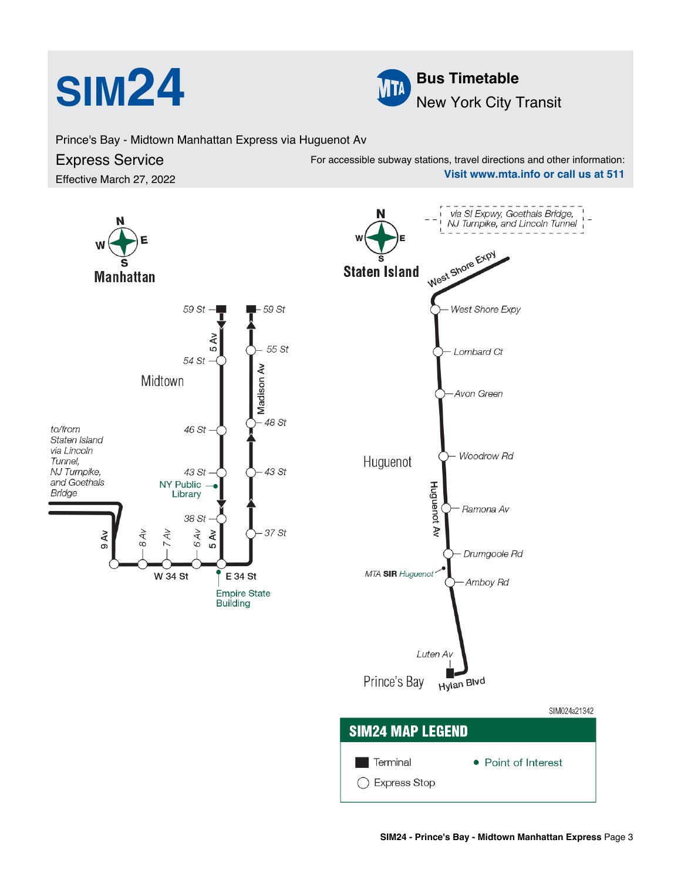



Prince's Bay - Midtown Manhattan Express via Huguenot Av

### Express Service Effective March 27, 2022 For accessible subway stations, travel directions and other information: **Visit www.mta.info or call us at 511**

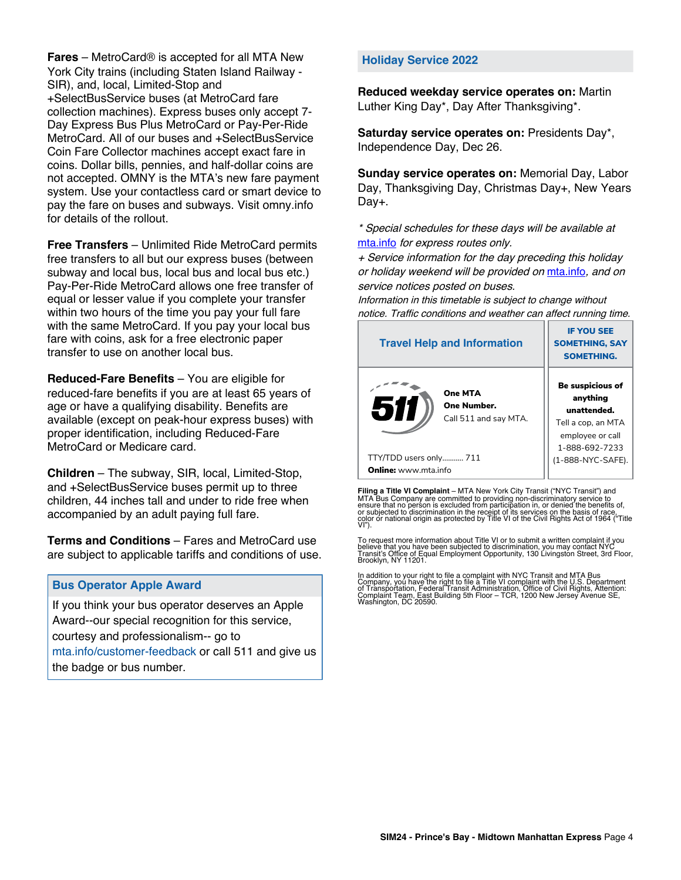**Fares** – MetroCard® is accepted for all MTA New York City trains (including Staten Island Railway - SIR), and, local, Limited-Stop and +SelectBusService buses (at MetroCard fare collection machines). Express buses only accept 7- Day Express Bus Plus MetroCard or Pay-Per-Ride MetroCard. All of our buses and +SelectBusService Coin Fare Collector machines accept exact fare in coins. Dollar bills, pennies, and half-dollar coins are not accepted. OMNY is the MTA's new fare payment system. Use your contactless card or smart device to pay the fare on buses and subways. Visit omny.info for details of the rollout.

**Free Transfers** – Unlimited Ride MetroCard permits free transfers to all but our express buses (between subway and local bus, local bus and local bus etc.) Pay-Per-Ride MetroCard allows one free transfer of equal or lesser value if you complete your transfer within two hours of the time you pay your full fare with the same MetroCard. If you pay your local bus fare with coins, ask for a free electronic paper transfer to use on another local bus.

**Reduced-Fare Benefits** – You are eligible for reduced-fare benefits if you are at least 65 years of age or have a qualifying disability. Benefits are available (except on peak-hour express buses) with proper identification, including Reduced-Fare MetroCard or Medicare card.

**Children** – The subway, SIR, local, Limited-Stop, and +SelectBusService buses permit up to three children, 44 inches tall and under to ride free when accompanied by an adult paying full fare.

**Terms and Conditions** – Fares and MetroCard use are subject to applicable tariffs and conditions of use.

## **Bus Operator Apple Award**

If you think your bus operator deserves an Apple Award--our special recognition for this service, courtesy and professionalism-- go to mta.info/customer-feedback or call 511 and give us the badge or bus number.

### **Holiday Service 2022**

**Reduced weekday service operates on:** Martin Luther King Day\*, Day After Thanksgiving\*.

**Saturday service operates on:** Presidents Day\*, Independence Day, Dec 26.

**Sunday service operates on:** Memorial Day, Labor Day, Thanksgiving Day, Christmas Day+, New Years Day+.

\* Special schedules for these days will be available at [mta.info](https://new.mta.info/) for express routes only.

+ Service information for the day preceding this holiday or holiday weekend will be provided on [mta.info](https://new.mta.info/), and on service notices posted on buses.

Information in this timetable is subject to change without notice. Traffic conditions and weather can affect running time.

| <b>Travel Help and Information</b>                     | <b>IF YOU SEE</b><br><b>SOMETHING, SAY</b><br><b>SOMETHING.</b>                                         |  |  |
|--------------------------------------------------------|---------------------------------------------------------------------------------------------------------|--|--|
| One MTA<br>511<br>One Number.<br>Call 511 and say MTA. | Be suspicious of<br>anything<br>unattended.<br>Tell a cop, an MTA<br>employee or call<br>1-888-692-7233 |  |  |
| TTY/TDD users only 711                                 | (1-888-NYC-SAFE).                                                                                       |  |  |
| <b>Online:</b> www.mta.info                            |                                                                                                         |  |  |

**Filing a Title VI Complaint** – MTA New York City Transit ("NYC Transit") and<br>MTA Bus Company are committed to providing non-discriminatory service to<br>ensure that no person is excluded from participation in, or denied the

To request more information about Title VI or to submit a written complaint if you believe that you have been subjected to discrimination, you may contact NYC<br>Transit's Office of Equal Employment Opportunity, 130 Livingston Street, 3rd Floor,<br>Brooklyn, NY 11201.

In addition to your right to file a complaint with NYC Transit and MTA Bus<br>Company, you have the right to file a Title VI complaint with the U.S. Department<br>of Transportation, Federal Transit Administration, Office of Civi